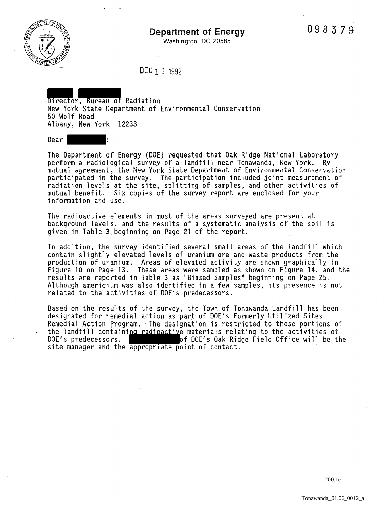

Washington, DC 20585

DEC 1 6 1992

Director, Bureau of Radiation New York State Department of Environmental Conser~ation 50 Wolf Road Albany, New York 12233

Dear :

The Department of Energy (DOE) requested that Oak Ridge National Laboratory perform a radiological survey of a landfill near Tonawanda, New York. By mutual agreement, the New York State Department of Environmental Conservation participated in the survey. The participation included joint measurement of radiation levels at the site, splitting of samples, and other activities of mutual benefit. Six copies of the survey report are enclosed for your information and use.

The radioactive elements in most of the areas surveyed are present at background levels, and the results of a systematic analysis of the soil is given in Table 3 beginning on Page 21 of the report.

In addition, the survey identified several small areas of the landfill which contain slightly elevated levels of uranium ore and waste products from the production of uranium. Areas of elevated activity are shown graphically in Figure 10 on Page 13. These areas were sampled as shown on Figure 14, and the results are reported in Table 3 as "Biased Samples" beginning on Page 25. Although americium was also identified in a few samples, its presence is not related to the activities of DOE's predecessors.

Based on the results of the survey, the Town of Tonawanda Landfill has been designated for remedial action as part of DOE's Formerly Utilized Sites Remedial Action Program. The designation is restricted to those portions of the landfill containing radioactive materials relating to the activities of DOE's predecessors.  $\qquad \qquad$  of DOE's Oak Ridge Field Office will be the site manager and the appropriate point of contact.